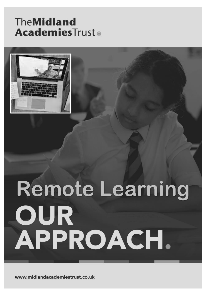# TheMidland **AcademiesTrust®**



# **Remote Learning** OUR APPROACH.

www.midlandacademiestrust.co.uk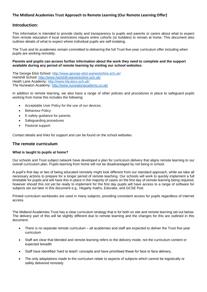#### **The Midland Academies Trust Approach to Remote Learning (Our Remote Learning Offer)**

#### **Introduction:**

This information is intended to provide clarity and transparency to pupils and parents or carers about what to expect from remote education if local restrictions require entire cohorts (or bubbles) to remain at home. This document also outlines details of what to expect where individual pupils are self-isolating.

The Trust and its academies remain committed to delivering the full Trust five-year curriculum offer including when pupils are working remotely.

#### **Parents and pupils can access further information about the work they need to complete and the support available during any period of remote learning by visiting our school websites:**

The George Eliot School:<http://www.george-eliot.warwickshire.sch.uk/> Hartshill School:<http://www.hartshill.warwickshire.sch.uk/> Heath Lane Academy:<http://www.hla.leics.sch.uk/> The Nuneaton Academy:<http://www.nuneatonacademy.co.uk/>

In addition to remote learning, we also have a range of other policies and procedures in place to safeguard pupils working from home this includes the following:

- Acceptable User Policy for the use of our devices.
- **Behaviour Policy**
- E-safety guidance for parents.
- Safeguarding procedures
- Pastoral support

Contact details and links for support and can be found on the school websites.

#### **The remote curriculum**

#### **What is taught to pupils at home?**

Our schools and Trust subject network have developed a plan for curriculum delivery that aligns remote learning to our overall curriculum plan. Pupils learning from home will not be disadvantaged by not being in school.

A pupil's first day or two of being educated remotely might look different from our standard approach, while we take all necessary actions to prepare for a longer period of remote teaching. Our schools will work to quickly implement a full timetable for pupils and will have this in place in the majority of cases on the first day of remote learning being required, however should this not yet be ready to implement for the first day pupils will have access to a range of software for subjects set out later in this document e.g., Hegarty maths, Educake, and GCSE Pod.

Printed curriculum workbooks are used in many subjects, providing consistent access for pupils regardless of internet access.

The Midland Academies Trust has a clear curriculum strategy that is for both on site and remote learning set out below. The delivery part of this will be slightly different due to remote learning and the changes for this are outlined in this document.

- There is no separate remote curriculum all academies and staff are expected to deliver the Trust five-year curriculum
- Staff are clear that blended and remote learning refers to the delivery mode, not the curriculum content or expected breadth
- Staff have identified 'hard to teach' concepts and have prioritised these for face to face delivery.
- The only adaptations made to the curriculum relate to aspects of subjects which cannot be logistically or safely delivered remotely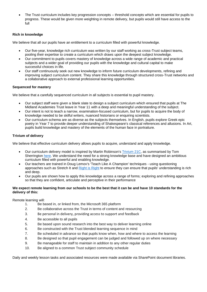• The Trust curriculum includes key progression concepts – threshold concepts which are essential for pupils to progress. These would be given more weighting in remote delivery, but pupils would still have access to the full

#### **Rich in knowledge**

We believe that all our pupils have an entitlement to a curriculum filled with powerful knowledge.

- Our five-year, knowledge rich curriculum was written by our staff working as cross-Trust subject teams, pooling their expertise to create a curriculum which draws upon the deepest subject knowledge.
- Our commitment to pupils covers mastery of knowledge across a wide range of academic and practical subjects and a wider goal of providing our pupils with the knowledge and cultural capital to make successful choices in life.
- Our staff continuously seek out new knowledge to inform future curriculum developments, refining and improving subject curriculum content. They share this knowledge through structured cross-Trust networks and a collaborative approach to external professional learning opportunities.

#### **Sequenced for mastery**

We believe that a carefully sequenced curriculum in all subjects is essential to pupil mastery.

- Our subject staff were given a blank slate to design a subject curriculum which ensured that pupils at The Midland Academies Trust leave in Year 11 with a deep and meaningful understanding of the subject.
- Our intent is not to teach a narrow, examination-focused curriculum, but for pupils to acquire the body of knowledge needed to be skilful writers, nuanced historians or enquiring scientists.
- Our curriculum schema are as diverse as the subjects themselves. In English, pupils explore Greek epic poetry in Year 7 to provide deeper understanding of Shakespeare's classical references and allusions. In Art, pupils build knowledge and mastery of the elements of the human face in portraiture.

#### **Trivium of delivery**

We believe that effective curriculum delivery allows pupils to acquire, understand and apply knowledge.

- Our curriculum delivery model is inspired by Martin Robinson's [Trivium 21C,](https://www.martinrobinson.net/writing.html) as summarised by Tom Sherrington [here.](https://teacherhead.com/2014/01/17/trivium-21st-c-could-this-be-the-answer/) We understand the need for a strong knowledge base and have designed an ambitious curriculum filled with powerful and enabling knowledge.
- Our teachers are trained in Doug Lemov's 'Teach Like A Champion' techniques using questioning approaches such as Stretch It and [Right is Right](https://www.youtube.com/watch?v=DYZjfEOg-lI) to ensure they can ensure that pupils' understanding is rich and deep.
- Our pupils are shown how to apply this knowledge across a range of forms; exploring and refining approaches so that they are confident, articulate and perceptive in their performance

#### **We expect remote learning from our schools to be the best that it can be and have 10 standards for the delivery of this:**

Remote learning will:

- 1. Be based in, or linked from, the Microsoft 365 platform
- 2. Be collaborative across the Trust in terms of content and resourcing
- 3. Be personal in delivery, providing access to support and feedback
- 4. Be accessible to all pupils
- 5. Be based upon sound research into the best way to deliver learning online
- 6. Be constructed with the Trust blended learning sequence in mind
- 7. Be scheduled in advance so that pupils know when, how and where to access the learning
- 8. Be designed so that pupil engagement can be judged and followed up on where necessary
- 9. Be manageable for staff to maintain in addition to any other regular duties
- 10. Be aligned to a common Trust subject community schedule

Daily and weekly lesson tasks and associated resources were made available via SharePoint document libraries.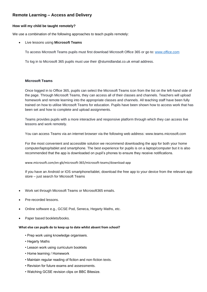# **Remote Learning – Access and Delivery**

#### **How will my child be taught remotely?**

We use a combination of the following approaches to teach pupils remotely:

• Live lessons using **Microsoft Teams**

To access Microsoft Teams pupils must first download Microsoft Office 365 or go to: [www.office.com](http://www.office.com/)

To log in to Microsoft 365 pupils must use their @stumidlandat.co.uk email address.

#### **Microsoft Teams**

Once logged in to Office 365, pupils can select the Microsoft Teams icon from the list on the left-hand side of the page. Through Microsoft Teams, they can access all of their classes and channels. Teachers will upload homework and remote learning into the appropriate classes and channels. All teaching staff have been fully trained on how to utilise Microsoft Teams for education. Pupils have been shown how to access work that has been set and how to complete and upload assignments.

Teams provides pupils with a more interactive and responsive platform through which they can access live lessons and work remotely.

You can access Teams via an internet browser via the following web address: www.teams.microsoft.com

For the most convenient and accessible solution we recommend downloading the app for both your home computer/laptop/tablet and smartphone. The best experience for pupils is on a laptop/computer but it is also recommended that the app is downloaded on pupil's phones to ensure they receive notifications.

#### www.microsoft.com/en-gb/microsoft-365/microsoft-teams/download-app

If you have an Android or IOS smartphone/tablet, download the free app to your device from the relevant app store – just search for Microsoft Teams

- Work set through Microsoft Teams or Microsoft365 emails.
- Pre-recorded lessons.
- Online software e.g., GCSE Pod, Seneca, Hegarty Maths, etc.
- Paper based booklets/books.

#### **What else can pupils do to keep up to date whilst absent from school?**

- Prep work using knowledge organisers.
- Hegarty Maths
- Lesson work using curriculum booklets
- Home learning / Homework
- Maintain regular reading of fiction and non-fiction texts.
- Revision for future exams and assessments.
- Watching GCSE revision clips on BBC Bitesize.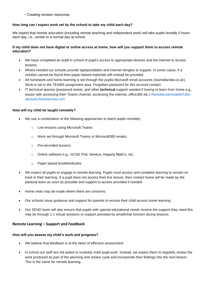• Creating revision resources.

### **How long can I expect work set by the school to take my child each day?**

We expect that remote education (including remote teaching and independent work) will take pupils broadly 5 hours each day, i.e., similar to a normal day at school.

#### **If my child does not have digital or online access at home, how will you support them to access remote education?**

- We have completed an audit in school of pupil's access to appropriate devices and the internet to access lessons.
- Where needed our schools provide laptops/tablets and internet dongles to support. In some cases, if a solution cannot be found then paper-based materials will instead be provided.
- All homework and home-learning is set through the pupils Microsoft email accounts (stumidlandat.co.uk). Work is set in the TEAMS assignment area. Forgotten password for this account contact:
- IT technical queries (password resets, and other **technical** support needed if having to learn from home e.g., issues with accessing their Teams channel, accessing the internet, office365 etc.) RemoteLearningMAT@eservices.freshservice.com

## **How will my child be taught remotely?**

- We use a combination of the following approaches to teach pupils remotely:
	- o Live lessons using Microsoft Teams
	- o Work set through Microsoft Teams or Microsoft365 emails.
	- o Pre-recorded lessons.
	- o Online software e.g., GCSE Pod, Seneca, Hegarty Math's, etc.
	- o Paper based booklets/books.
- We expect all pupils to engage in remote learning. Pupils must access and complete learning to remain on track in their learning. If a pupil does not access their live lesson, then contact home will be made by the pastoral team as soon as possible and support to access provided if needed.
- Home visits may be made where there are concerns.
- Our schools issue guidance and support for parents to ensure their child access home learning.
- Our SEND team will also ensure that pupils with special educational needs receive the support they need this may be through 1:1 virtual sessions or support provided by email/chat function during lessons.

# **Remote Learning – Support and Feedback**

# **How will you assess my child's work and progress?**

- We believe that feedback is at the heart of effective assessment.
- In school our staff are not asked to routinely mark pupil work. Instead, we expect them to regularly review the work produced as part of the planning and review cycle and incorporate their findings into the next lesson. This is the same for remote learning.